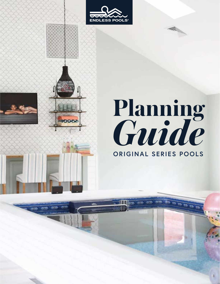



# **Planning**  Guide **ORIGINAL SERIES POOLS**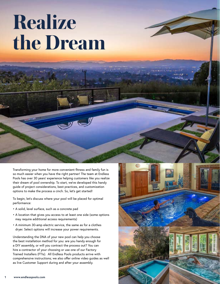# **Realize the Dream**

Transforming your home for more convenient fitness and family fun is so much easier when you have the right partner! The team at Endless Pools has over 30 years' experience helping customers like you realize their dream of pool ownership. To start, we've developed this handy guide of project considerations, best practices, and customization options to make the process a cinch. So, let's get started!

To begin, let's discuss where your pool will be placed for optimal performance:

- A solid, level surface, such as a concrete pad
- A location that gives you access to at least one side (some options may require additional access requirements)
- A minimum 30-amp electric service, the same as for a clothes dryer. Select options will increase your power requirements.

Understanding the DNA of your new pool can help you choose the best installation method for you: are you handy enough for a DIY assembly, or will you contract the process out? You can hire a contractor of your choosing or use one of our Factory Trained Installers (FTIs). All Endless Pools products arrive with comprehensive instructions; we also offer online video guides as well as live Customer Support during and after your assembly.

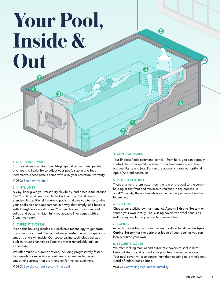# **Your Pool, Inside & Out**

**3**

# **1. STEEL-PANEL WALLS**

**4**

**7**

 $\breve{\bigcirc}$ 

Sturdy and rust-resistant, our 14-gauge galvanized steel panels give you the flexibility to adjust your pool's size in one-foot increments. These panels come with a 10-year structural warranty.

VIDEO: [See how it's built!](https://www.endlesspools.com/video/built)

# **2. VINYL LINER**

A vinyl liner gives you versatility, flexibility, and a beautiful interior. Our 28-mil. vinyl liner is 40% thicker than the 20-mil. liners standard in traditional in-ground pools. It allows you to customize your pool's size and appearance in a way that simply isn't feasible with fiberglass or acrylic spas. You can choose from a range of solids and patterns. Each fully replaceable liner comes with a 2-year warranty.

# **3. CURRENT SYSTEM**

Inside this housing resides our exclusive technology to generate our signature current. Our propeller-generated current is spacious, smooth, and swimmable. Our space-saving technology utilizes built-in return channels to keep the water remarkably still on either side.

We offer multiple current options, including progressively faster top speeds for experienced swimmers, as well as larger and smoother currents that are friendlier for novice swimmers.

VIDEO: [See the current system in action!](https://www.endlesspools.com/video/how-the-endless-pool-works)

# **4. CONTROL PANEL**

**2**

**1**

**5**

**8**

Your Endless Pools command center – from here, you can digitally control the water quality system, water temperature, and the optional lights and jets. For remote access, choose our optional Apple/Android controller.

**6**

# **5. RETURN CHANNELS**

These channels return water from the rear of the pool to the current housing at the front and minimize turbulence in the process. In our 42" models, these channels also function as perimeter benches for seating.

# **6. SKIRTING**

Choose our stylish, low-maintenance **Ascent Skirting System** or source your own locally. The skirting covers the steel panels as well as any insulation you add to conserve heat.

#### **7. COPING**

As with the skirting, you can choose our durable, attractive **Apex Coping System** for the perimeter ledge of your pool, or you can locally source your own.

### **8. SECURITY COVER**

We offer locking manual and automatic covers to seal in heat, keep out debris and protect your pool from unwanted access. Your pool cover will also control humidity, opening up a whole new world of indoor possibilities.

VIDEO: [Controlling Pool Room Humidity](https://www.endlesspools.com/video/controlling-pool-room-humidity)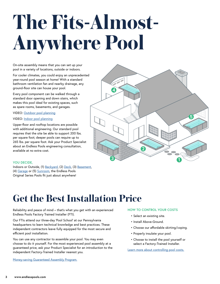# **The Fits-Almost-Anywhere Pool**

On-site assembly means that you can set up your pool in a variety of locations, outside or indoors.

For cooler climates, you could enjoy an unprecedented year-round pool season at home! With a standard bathroom ventilation fan and nearby drainage, any ground-floor site can house your pool.

Every pool component can be walked through a standard door opening and down stairs, which makes this pool ideal for existing spaces, such as spare rooms, basements, and garages.

VIDEO: [Outdoor pool planning](https://www.endlesspools.com/planning/outdoor)

# VIDEO: [Indoor pool planning](https://www.endlesspools.com/planning/indoor)

Upper-floor and rooftop locations are possible with additional engineering. Our standard pool requires that the site be able to support 200 lbs. per square foot; deeper pools can require up to 265 lbs. per square foot. Ask your Product Specialist about an Endless Pools engineering consultation, available at no extra cost.

# **YOU DECIDE,**

Indoors or Outside, (1) [Backyard,](https://www.endlesspools.com/blog/post/tour-backyard-pools-inground) (2) [Deck,](https://www.endlesspools.com/blog/post/tour-deck-pools) (3) [Basement,](https://www.endlesspools.com/blog/post/tour-basement-pools) (4) [Garage](https://www.endlesspools.com/blog/post/tour-garage-pools) or (5) [Sunroom](https://www.endlesspools.com/blog/post/tour-sunroom-pools), the Endless Pools Original Series Pools fit just about anywhere!



# **Get the Best Installation Price**

Reliability and peace of mind – that's what you get with an experienced Endless Pools Factory Trained Installer (FTI).

Our FTIs attend our three-day 'Pool School' at our Pennsylvania headquarters to learn technical knowledge and best practices. These independent contractors leave fully equipped for the most secure and efficient pool installation.

You can use any contractor to assemble your pool. You may even choose to do it yourself. For the most experienced pool assembly at a guaranteed price, ask your Product Specialist for an introduction to the independent Factory-Trained Installer nearest you.

[Money-saving Guaranteed Assembly Program.](http://endlesspools.com/gap)

# **HOW TO CONTROL YOUR COSTS**

- Select an existing site.
- Install Above-Ground.
- Choose our affordable skirting/coping.
- Properly insulate your pool.
- Choose to install the pool yourself or select a Factory-Trained Installer.

[Learn more about controlling pool costs.](https://www.endlesspools.com/control-costs)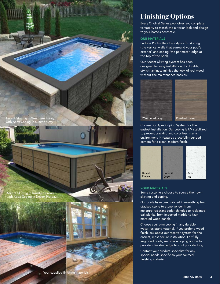



Your supplied finishing materials

# **Finishing Options**

Every Original Series pool gives you complete versatility to match the exterior look and design to your home's aesthetic.

# **OUR MATERIALS**

Endless Pools offers two styles for skirting (the vertical walls that surround your pool's exterior) and coping (the perimeter ledge at the top of the pool).

Our Ascent Skirting System has been designed for easy installation. Its durable, stylish laminate mimics the look of real wood without the maintenance hassles.





Weathered Gray

Choose our Apex Coping System for the easiest installation. Our coping is UV stabilized to prevent cracking and color loss in any environment. It features gracefully rounded corners for a clean, modern finish.



# **YOUR MATERIALS**

Some customers choose to source their own skirting and coping.

Our pools have been skirted in everything from stacked stone to stone veneer, from moisture-resistant cedar shingles to reclaimed oak planks, from imported marble to fauxmarbled wood panels.

Choose your own coping in any durable, water-resistant material. If you prefer a wood finish, ask about our receiver system for the easiest, most secure installation. For fully in-ground pools, we offer a coping option to provide a finished edge to abut your decking.

Contact your product specialist for any special needs specific to your sourced finishing material.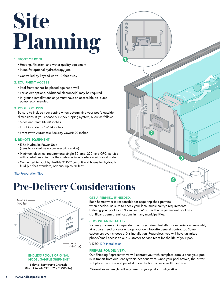# **Site Planning**

# **1. FRONT OF POOL:**

- Heating, filtration, and water quality equipment
- Pump for optional hydrotherapy jets
- Controlled by keypad up to 10 feet away

# **2. EQUIPMENT ACCESS**

- Pool front cannot be placed against a wall
- For select options, additional clearance(s) may be required
- In-ground installations only: must have an accessible pit; sump pump recommended.

# **3. POOL FOOTPRINT**

Be sure to include your coping when determining your pool's outside dimensions. If you choose our Apex Coping System, allow as follows:

- Sides and rear: 10-3/8 inches
- Front (standard): 17-1/4 inches
- Front (with Automatic Security Cover): 20 inches

# **4. REMOTE EQUIPMENT**

- 5-hp Hydraulic Power Unit (usually located near your electric service)
- Minimum electrical requirement: single 30-amp, 220-volt, GFCI service with shutoff supplied by the customer in accordance with local code
- Connected to pool by flexible 2" PVC conduit and hoses for hydraulic fluid (25 feet standard, optional up to 75 feet)

#### [Site Preparation Tips](https://www.endlesspools.com/site-prep)

# **Pre-Delivery Considerations**



# **ENDLESS POOLS ORIGINAL MODEL SAMPLE SHIPMENT\***

Sidewall Reinforcing Channels (Not pictured): 136" x 7" x 6" (100 lbs)

# **GET A PERMIT... IF NEEDED.**

**1**

 $^{\circ}$  $\overline{\bigcap}$ 

Each homeowner is responsible for acquiring their permits, when needed. Be sure to check your local municipality's requirements. Defining your pool as an "Exercise Spa" rather than a permanent pool has significant permit ramifications in many municipalities.

# **CHOOSE AN INSTALLER.**

You may choose an independent Factory-Trained Installer for experienced assembly at a guaranteed price or engage your own favorite general contractor. Some customers even choose a DIY installation. Regardless, you will have unlimited phone/email access to our Customer Service team for the life of your pool.

**2**

**3**

**4**

VIDEO: [DIY installation](https://www.endlesspools.com/install)

#### **PREPARE FOR DELIVERY.**

Our Shipping Representative will contact you with complete details once your pool is in transit from our Pennsylvania headquarters. Once your pool arrives, the driver will place the crate and panel skid on the first accessible flat surface.

\*Dimensions and weight will vary based on your product configuration.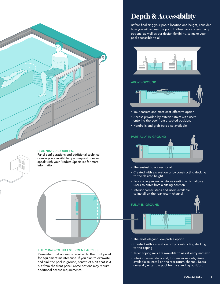

#### **PLANNING RESOURCES.**

Panel configurations and additional technical drawings are available upon request. Please speak with your Product Specialist for more information.



#### **FULLY IN-GROUND EQUIPMENT ACCESS.**

Remember that access is required to the front panel for equipment maintenance. If you plan to excavate and sink the pool in-ground, construct a pit that is 3' out from the front panel. Some options may require additional access requirements.

# **Depth & Accessibility**

Before finalizing your pool's location and height, consider how you will access the pool. Endless Pools offers many options, as well as our design flexibility, to make your pool accessible to all.



#### **ABOVE-GROUND**



- Your easiest and most cost-effective option
- Access provided by exterior stairs with users entering the pool from a seated position.
- Handrails and grab bars also available



- The easiest to access for all
- Created with excavation or by constructing decking to the desired height
- Pool coping serves as stable seating which allows users to enter from a sitting position
- Interior corner steps and risers available to install on the rear return channel



- The most elegant, low-profile option
- Created with excavation or by constructing decking to the coping
- Taller coping rails are available to assist entry and exit
- Interior corner steps and, for deeper models, risers available to install on the rear return channel. Users generally enter the pool from a standing position.